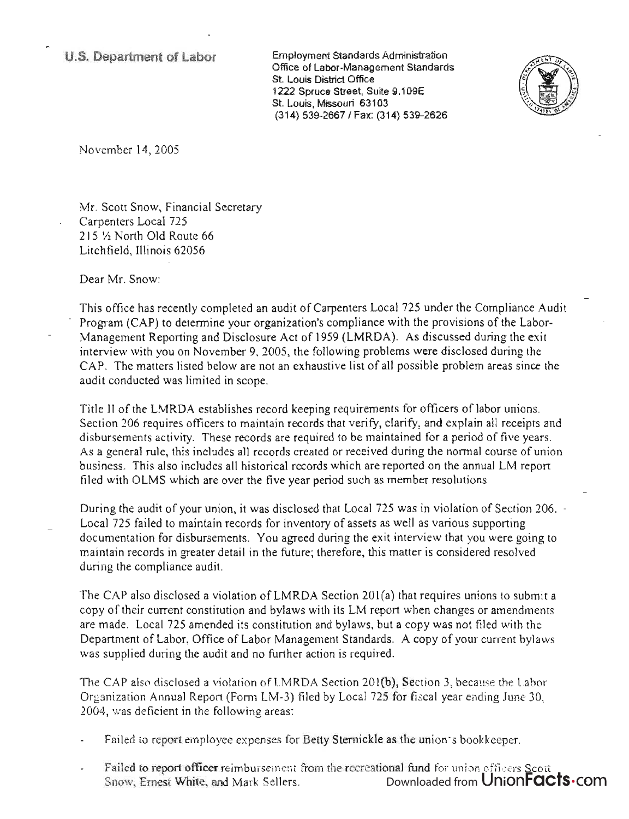Employment Standards Administration Office of Labor-Management Standards St. Louis District Office 1222 Spruce Street, Suite 9.109E St. Louis, Missouri 63103 (314) 539-2667 I Fax: (314) 539-2626



November 14, 2005

Mr. Scott Snow, Financial Secretary Carpenters Local 725 215 Y2 North Old Route 66 Litchfield, Illinois 62056

Dear Mr. Snow:

This office has recently completed an audit of Carpenters Local 725 under the Compliance Audit Program (CAP) to determine your organization's compliance with the provisions of the Labor-Management Reporting and Disclosure Act of 1959 (LMRDA). As discussed during the exit interview with you on November 9, 2005, the following problems were disclosed during the CAP. The matters listed below are not an exhaustive list of all possible problem areas since the audit conducted was limited in scope.

Title II of the LMRDA establishes record keeping requirements for officers oflabor unions. Section 206 requires officers to maintain records that verify, clarify, and explain all receipts and disbursements activity. These records are required to be maintained for a period of five years. As a general rule, this includes all records created or received during the normal course of union business. This also includes all historical records which are reported on the annual LM report filed with OLMS which are over the five year period such as member resolutions.

During the audit of your union, it was disclosed that Local 725 was in violation of Section 206. Local 725 failed to maintain records for inventory of assets as well as various supporting documentation for disbursements. You agreed during the exit interview that you were going to maintain records in greater detail in the future; therefore, this matter is considered resolved during the compliance audit.

The CAP also disclosed a violation of LMRDA Section 201(a) that requires unions to submit a copy of their current constitution and bylaws with its LM report when changes or amendments are made. Local 725 amended its constitution and bylaws, but a copy was not filed with the Department of Labor, Office of Labor Management Standards. A copy of your current bylaws was supplied during the audit and no further action is required.

The CAP also disclosed a violation of LMRDA Section 201(b), Section 3, because the Labor Organization Annual Report (Fonn LM-3) filed by Local 725 for fiscal year ending June 30, 2004, was deficient in the following areas:

- Failed to report employee expenses for Betty Sternickle as the union's bookkeeper.
- Failed to report officer reimbursement from the recreational fund for union officers Scott Snow, Ernest White, and Mark Sellers. Downloaded from UnionFacts.com